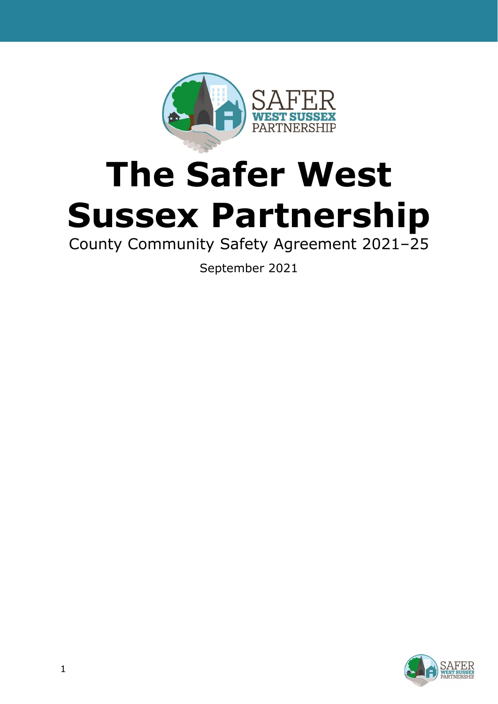

# **The Safer West Sussex Partnership**

County Community Safety Agreement 2021–25

September 2021

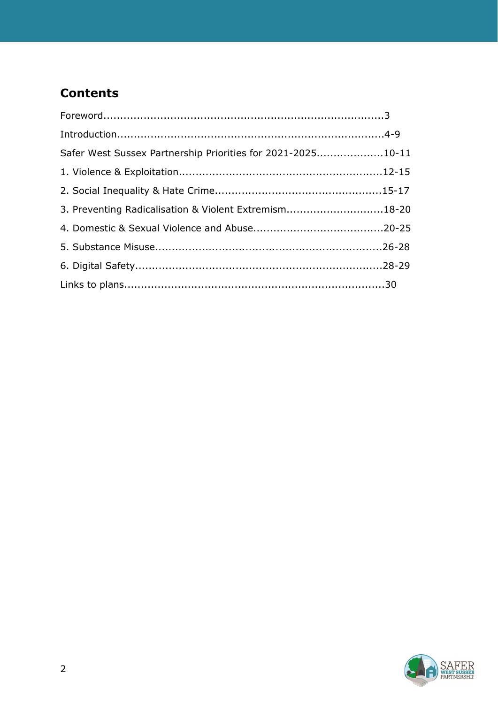# **Contents**

| Foreword. 3                                                 |  |
|-------------------------------------------------------------|--|
|                                                             |  |
| Safer West Sussex Partnership Priorities for 2021-202510-11 |  |
|                                                             |  |
|                                                             |  |
| 3. Preventing Radicalisation & Violent Extremism18-20       |  |
|                                                             |  |
|                                                             |  |
|                                                             |  |
|                                                             |  |

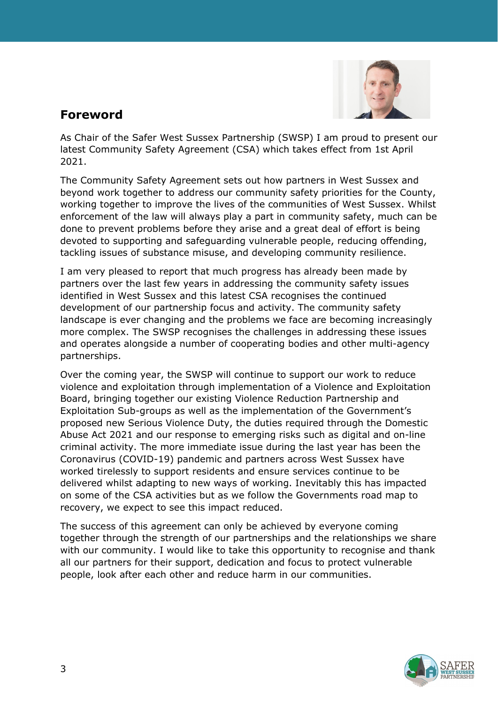

## **Foreword**

As Chair of the Safer West Sussex Partnership (SWSP) I am proud to present our latest Community Safety Agreement (CSA) which takes effect from 1st April 2021.

The Community Safety Agreement sets out how partners in West Sussex and beyond work together to address our community safety priorities for the County, working together to improve the lives of the communities of West Sussex. Whilst enforcement of the law will always play a part in community safety, much can be done to prevent problems before they arise and a great deal of effort is being devoted to supporting and safeguarding vulnerable people, reducing offending, tackling issues of substance misuse, and developing community resilience.

I am very pleased to report that much progress has already been made by partners over the last few years in addressing the community safety issues identified in West Sussex and this latest CSA recognises the continued development of our partnership focus and activity. The community safety landscape is ever changing and the problems we face are becoming increasingly more complex. The SWSP recognises the challenges in addressing these issues and operates alongside a number of cooperating bodies and other multi-agency partnerships.

Over the coming year, the SWSP will continue to support our work to reduce violence and exploitation through implementation of a Violence and Exploitation Board, bringing together our existing Violence Reduction Partnership and Exploitation Sub-groups as well as the implementation of the Government's proposed new Serious Violence Duty, the duties required through the Domestic Abuse Act 2021 and our response to emerging risks such as digital and on-line criminal activity. The more immediate issue during the last year has been the Coronavirus (COVID-19) pandemic and partners across West Sussex have worked tirelessly to support residents and ensure services continue to be delivered whilst adapting to new ways of working. Inevitably this has impacted on some of the CSA activities but as we follow the Governments road map to recovery, we expect to see this impact reduced.

The success of this agreement can only be achieved by everyone coming together through the strength of our partnerships and the relationships we share with our community. I would like to take this opportunity to recognise and thank all our partners for their support, dedication and focus to protect vulnerable people, look after each other and reduce harm in our communities.

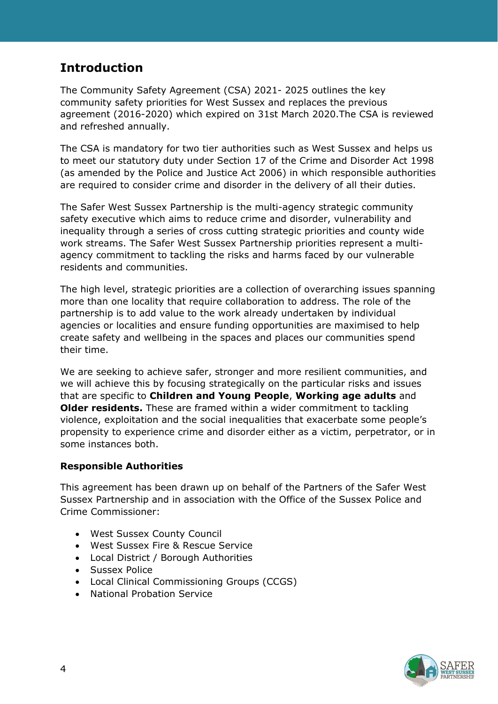# **Introduction**

The Community Safety Agreement (CSA) 2021- 2025 outlines the key community safety priorities for West Sussex and replaces the previous agreement (2016-2020) which expired on 31st March 2020.The CSA is reviewed and refreshed annually.

The CSA is mandatory for two tier authorities such as West Sussex and helps us to meet our statutory duty under Section 17 of the Crime and Disorder Act 1998 (as amended by the Police and Justice Act 2006) in which responsible authorities are required to consider crime and disorder in the delivery of all their duties.

The Safer West Sussex Partnership is the multi-agency strategic community safety executive which aims to reduce crime and disorder, vulnerability and inequality through a series of cross cutting strategic priorities and county wide work streams. The Safer West Sussex Partnership priorities represent a multiagency commitment to tackling the risks and harms faced by our vulnerable residents and communities.

The high level, strategic priorities are a collection of overarching issues spanning more than one locality that require collaboration to address. The role of the partnership is to add value to the work already undertaken by individual agencies or localities and ensure funding opportunities are maximised to help create safety and wellbeing in the spaces and places our communities spend their time.

We are seeking to achieve safer, stronger and more resilient communities, and we will achieve this by focusing strategically on the particular risks and issues that are specific to **Children and Young People**, **Working age adults** and **Older residents.** These are framed within a wider commitment to tackling violence, exploitation and the social inequalities that exacerbate some people's propensity to experience crime and disorder either as a victim, perpetrator, or in some instances both.

#### **Responsible Authorities**

This agreement has been drawn up on behalf of the Partners of the Safer West Sussex Partnership and in association with the Office of the Sussex Police and Crime Commissioner:

- West Sussex County Council
- West Sussex Fire & Rescue Service
- Local District / Borough Authorities
- Sussex Police
- Local Clinical Commissioning Groups (CCGS)
- National Probation Service

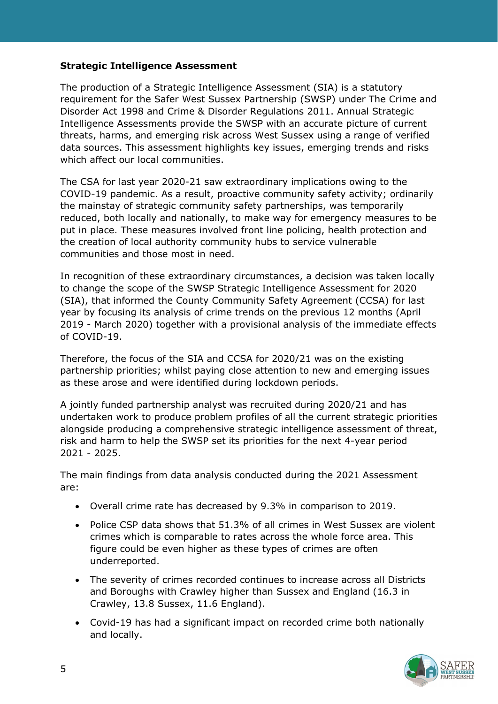#### **Strategic Intelligence Assessment**

The production of a Strategic Intelligence Assessment (SIA) is a statutory requirement for the Safer West Sussex Partnership (SWSP) under The Crime and Disorder Act 1998 and Crime & Disorder Regulations 2011. Annual Strategic Intelligence Assessments provide the SWSP with an accurate picture of current threats, harms, and emerging risk across West Sussex using a range of verified data sources. This assessment highlights key issues, emerging trends and risks which affect our local communities.

The CSA for last year 2020-21 saw extraordinary implications owing to the COVID-19 pandemic. As a result, proactive community safety activity; ordinarily the mainstay of strategic community safety partnerships, was temporarily reduced, both locally and nationally, to make way for emergency measures to be put in place. These measures involved front line policing, health protection and the creation of local authority community hubs to service vulnerable communities and those most in need.

In recognition of these extraordinary circumstances, a decision was taken locally to change the scope of the SWSP Strategic Intelligence Assessment for 2020 (SIA), that informed the County Community Safety Agreement (CCSA) for last year by focusing its analysis of crime trends on the previous 12 months (April 2019 - March 2020) together with a provisional analysis of the immediate effects of COVID-19.

Therefore, the focus of the SIA and CCSA for 2020/21 was on the existing partnership priorities; whilst paying close attention to new and emerging issues as these arose and were identified during lockdown periods.

A jointly funded partnership analyst was recruited during 2020/21 and has undertaken work to produce problem profiles of all the current strategic priorities alongside producing a comprehensive strategic intelligence assessment of threat, risk and harm to help the SWSP set its priorities for the next 4-year period 2021 - 2025.

The main findings from data analysis conducted during the 2021 Assessment are:

- Overall crime rate has decreased by 9.3% in comparison to 2019.
- Police CSP data shows that 51.3% of all crimes in West Sussex are violent crimes which is comparable to rates across the whole force area. This figure could be even higher as these types of crimes are often underreported.
- The severity of crimes recorded continues to increase across all Districts and Boroughs with Crawley higher than Sussex and England (16.3 in Crawley, 13.8 Sussex, 11.6 England).
- Covid-19 has had a significant impact on recorded crime both nationally and locally.

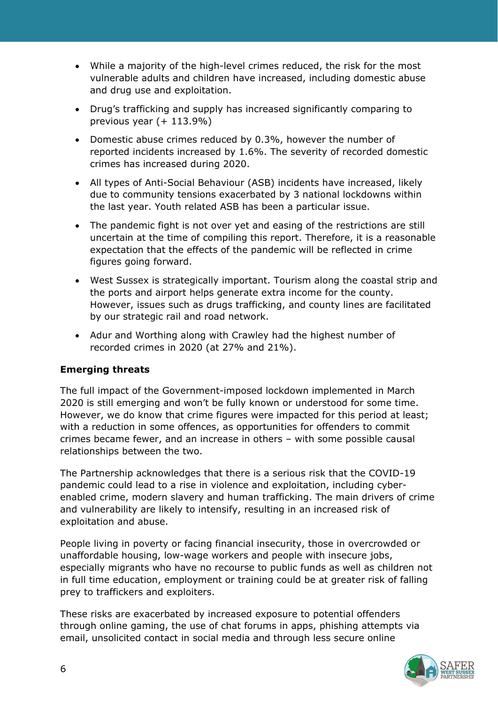- While a majority of the high-level crimes reduced, the risk for the most vulnerable adults and children have increased, including domestic abuse and drug use and exploitation.
- Drug's trafficking and supply has increased significantly comparing to previous year (+ 113.9%)
- Domestic abuse crimes reduced by 0.3%, however the number of reported incidents increased by 1.6%. The severity of recorded domestic crimes has increased during 2020.
- All types of Anti-Social Behaviour (ASB) incidents have increased, likely due to community tensions exacerbated by 3 national lockdowns within the last year. Youth related ASB has been a particular issue.
- The pandemic fight is not over yet and easing of the restrictions are still uncertain at the time of compiling this report. Therefore, it is a reasonable expectation that the effects of the pandemic will be reflected in crime figures going forward.
- West Sussex is strategically important. Tourism along the coastal strip and the ports and airport helps generate extra income for the county. However, issues such as drugs trafficking, and county lines are facilitated by our strategic rail and road network.
- Adur and Worthing along with Crawley had the highest number of recorded crimes in 2020 (at 27% and 21%).

## **Emerging threats**

The full impact of the Government-imposed lockdown implemented in March 2020 is still emerging and won't be fully known or understood for some time. However, we do know that crime figures were impacted for this period at least; with a reduction in some offences, as opportunities for offenders to commit crimes became fewer, and an increase in others – with some possible causal relationships between the two.

The Partnership acknowledges that there is a serious risk that the COVID-19 pandemic could lead to a rise in violence and exploitation, including cyberenabled crime, modern slavery and human trafficking. The main drivers of crime and vulnerability are likely to intensify, resulting in an increased risk of exploitation and abuse.

People living in poverty or facing financial insecurity, those in overcrowded or unaffordable housing, low-wage workers and people with insecure jobs, especially migrants who have no recourse to public funds as well as children not in full time education, employment or training could be at greater risk of falling prey to traffickers and exploiters.

These risks are exacerbated by increased exposure to potential offenders through online gaming, the use of chat forums in apps, phishing attempts via email, unsolicited contact in social media and through less secure online

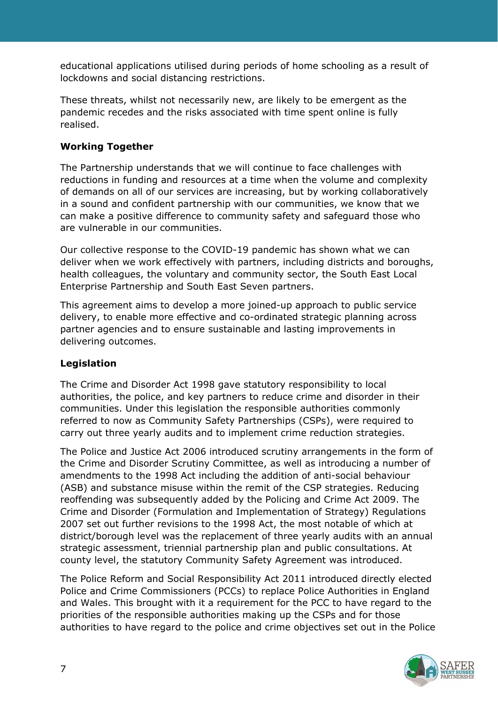educational applications utilised during periods of home schooling as a result of lockdowns and social distancing restrictions.

These threats, whilst not necessarily new, are likely to be emergent as the pandemic recedes and the risks associated with time spent online is fully realised.

## **Working Together**

The Partnership understands that we will continue to face challenges with reductions in funding and resources at a time when the volume and complexity of demands on all of our services are increasing, but by working collaboratively in a sound and confident partnership with our communities, we know that we can make a positive difference to community safety and safeguard those who are vulnerable in our communities.

Our collective response to the COVID-19 pandemic has shown what we can deliver when we work effectively with partners, including districts and boroughs, health colleagues, the voluntary and community sector, the South East Local Enterprise Partnership and South East Seven partners.

This agreement aims to develop a more joined-up approach to public service delivery, to enable more effective and co-ordinated strategic planning across partner agencies and to ensure sustainable and lasting improvements in delivering outcomes.

## **Legislation**

The Crime and Disorder Act 1998 gave statutory responsibility to local authorities, the police, and key partners to reduce crime and disorder in their communities. Under this legislation the responsible authorities commonly referred to now as Community Safety Partnerships (CSPs), were required to carry out three yearly audits and to implement crime reduction strategies.

The Police and Justice Act 2006 introduced scrutiny arrangements in the form of the Crime and Disorder Scrutiny Committee, as well as introducing a number of amendments to the 1998 Act including the addition of anti-social behaviour (ASB) and substance misuse within the remit of the CSP strategies. Reducing reoffending was subsequently added by the Policing and Crime Act 2009. The Crime and Disorder (Formulation and Implementation of Strategy) Regulations 2007 set out further revisions to the 1998 Act, the most notable of which at district/borough level was the replacement of three yearly audits with an annual strategic assessment, triennial partnership plan and public consultations. At county level, the statutory Community Safety Agreement was introduced.

The Police Reform and Social Responsibility Act 2011 introduced directly elected Police and Crime Commissioners (PCCs) to replace Police Authorities in England and Wales. This brought with it a requirement for the PCC to have regard to the priorities of the responsible authorities making up the CSPs and for those authorities to have regard to the police and crime objectives set out in the Police

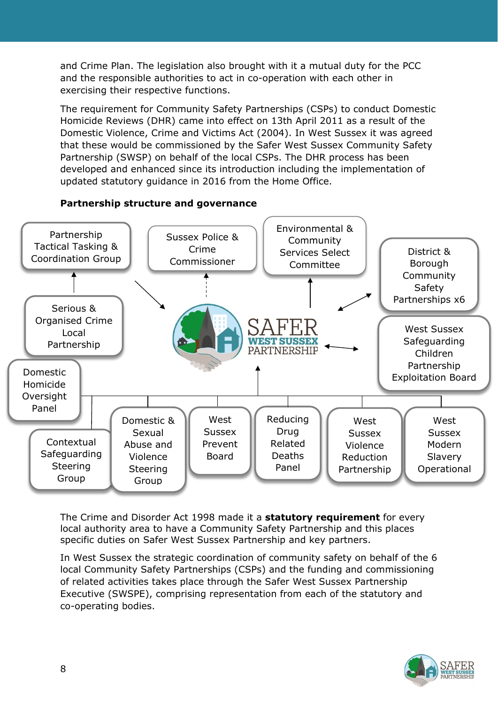and Crime Plan. The legislation also brought with it a mutual duty for the PCC and the responsible authorities to act in co-operation with each other in exercising their respective functions.

The requirement for Community Safety Partnerships (CSPs) to conduct Domestic Homicide Reviews (DHR) came into effect on 13th April 2011 as a result of the Domestic Violence, Crime and Victims Act (2004). In West Sussex it was agreed that these would be commissioned by the Safer West Sussex Community Safety Partnership (SWSP) on behalf of the local CSPs. The DHR process has been developed and enhanced since its introduction including the implementation of updated statutory guidance in 2016 from the Home Office.



**Partnership structure and governance**

The Crime and Disorder Act 1998 made it a **statutory requirement** for every local authority area to have a Community Safety Partnership and this places specific duties on Safer West Sussex Partnership and key partners.

In West Sussex the strategic coordination of community safety on behalf of the 6 local Community Safety Partnerships (CSPs) and the funding and commissioning of related activities takes place through the Safer West Sussex Partnership Executive (SWSPE), comprising representation from each of the statutory and co-operating bodies.

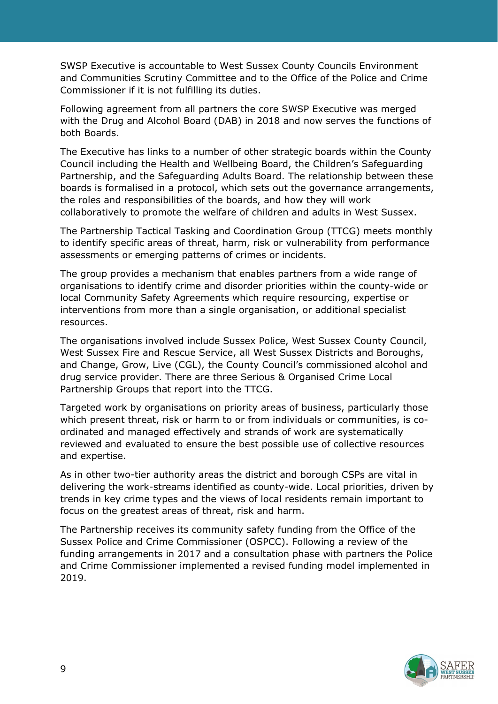SWSP Executive is accountable to West Sussex County Councils Environment and Communities Scrutiny Committee and to the Office of the Police and Crime Commissioner if it is not fulfilling its duties.

Following agreement from all partners the core SWSP Executive was merged with the Drug and Alcohol Board (DAB) in 2018 and now serves the functions of both Boards.

The Executive has links to a number of other strategic boards within the County Council including the Health and Wellbeing Board, the Children's Safeguarding Partnership, and the Safeguarding Adults Board. The relationship between these boards is formalised in a protocol, which sets out the governance arrangements, the roles and responsibilities of the boards, and how they will work collaboratively to promote the welfare of children and adults in West Sussex.

The Partnership Tactical Tasking and Coordination Group (TTCG) meets monthly to identify specific areas of threat, harm, risk or vulnerability from performance assessments or emerging patterns of crimes or incidents.

The group provides a mechanism that enables partners from a wide range of organisations to identify crime and disorder priorities within the county-wide or local Community Safety Agreements which require resourcing, expertise or interventions from more than a single organisation, or additional specialist resources.

The organisations involved include Sussex Police, West Sussex County Council, West Sussex Fire and Rescue Service, all West Sussex Districts and Boroughs, and Change, Grow, Live (CGL), the County Council's commissioned alcohol and drug service provider. There are three Serious & Organised Crime Local Partnership Groups that report into the TTCG.

Targeted work by organisations on priority areas of business, particularly those which present threat, risk or harm to or from individuals or communities, is coordinated and managed effectively and strands of work are systematically reviewed and evaluated to ensure the best possible use of collective resources and expertise.

As in other two-tier authority areas the district and borough CSPs are vital in delivering the work-streams identified as county-wide. Local priorities, driven by trends in key crime types and the views of local residents remain important to focus on the greatest areas of threat, risk and harm.

The Partnership receives its community safety funding from the Office of the Sussex Police and Crime Commissioner (OSPCC). Following a review of the funding arrangements in 2017 and a consultation phase with partners the Police and Crime Commissioner implemented a revised funding model implemented in 2019.

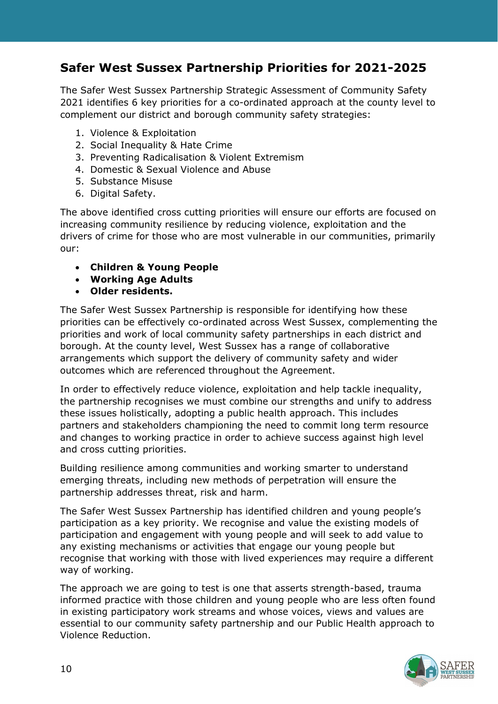# **Safer West Sussex Partnership Priorities for 2021-2025**

The Safer West Sussex Partnership Strategic Assessment of Community Safety 2021 identifies 6 key priorities for a co-ordinated approach at the county level to complement our district and borough community safety strategies:

- 1. Violence & Exploitation
- 2. Social Inequality & Hate Crime
- 3. Preventing Radicalisation & Violent Extremism
- 4. Domestic & Sexual Violence and Abuse
- 5. Substance Misuse
- 6. Digital Safety.

The above identified cross cutting priorities will ensure our efforts are focused on increasing community resilience by reducing violence, exploitation and the drivers of crime for those who are most vulnerable in our communities, primarily our:

- **Children & Young People**
- **Working Age Adults**
- **Older residents.**

The Safer West Sussex Partnership is responsible for identifying how these priorities can be effectively co-ordinated across West Sussex, complementing the priorities and work of local community safety partnerships in each district and borough. At the county level, West Sussex has a range of collaborative arrangements which support the delivery of community safety and wider outcomes which are referenced throughout the Agreement.

In order to effectively reduce violence, exploitation and help tackle inequality, the partnership recognises we must combine our strengths and unify to address these issues holistically, adopting a public health approach. This includes partners and stakeholders championing the need to commit long term resource and changes to working practice in order to achieve success against high level and cross cutting priorities.

Building resilience among communities and working smarter to understand emerging threats, including new methods of perpetration will ensure the partnership addresses threat, risk and harm.

The Safer West Sussex Partnership has identified children and young people's participation as a key priority. We recognise and value the existing models of participation and engagement with young people and will seek to add value to any existing mechanisms or activities that engage our young people but recognise that working with those with lived experiences may require a different way of working.

The approach we are going to test is one that asserts strength-based, trauma informed practice with those children and young people who are less often found in existing participatory work streams and whose voices, views and values are essential to our community safety partnership and our Public Health approach to Violence Reduction.

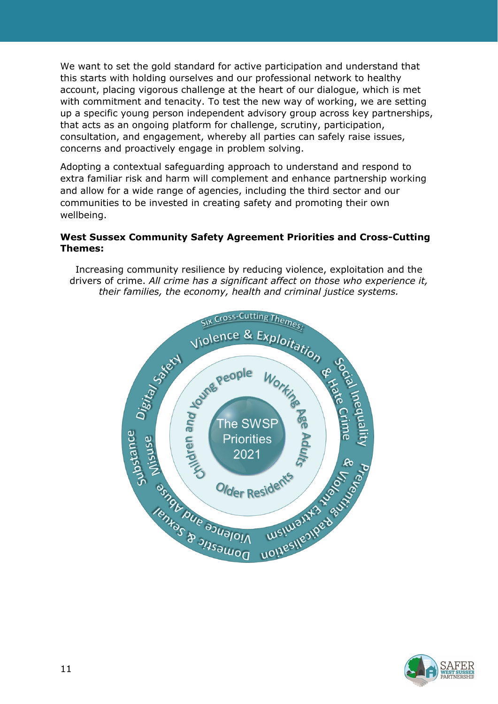We want to set the gold standard for active participation and understand that this starts with holding ourselves and our professional network to healthy account, placing vigorous challenge at the heart of our dialogue, which is met with commitment and tenacity. To test the new way of working, we are setting up a specific young person independent advisory group across key partnerships, that acts as an ongoing platform for challenge, scrutiny, participation, consultation, and engagement, whereby all parties can safely raise issues, concerns and proactively engage in problem solving.

Adopting a contextual safeguarding approach to understand and respond to extra familiar risk and harm will complement and enhance partnership working and allow for a wide range of agencies, including the third sector and our communities to be invested in creating safety and promoting their own wellbeing.

#### **West Sussex Community Safety Agreement Priorities and Cross-Cutting Themes:**

Increasing community resilience by reducing violence, exploitation and the drivers of crime. *All crime has a significant affect on those who experience it, their families, the economy, health and criminal justice systems.*



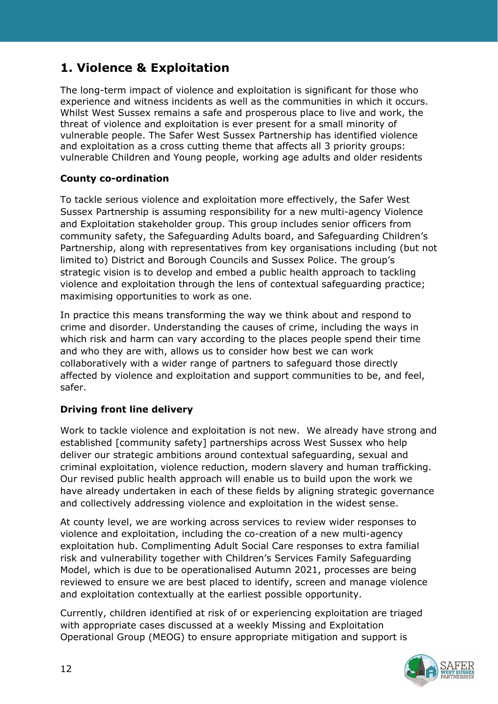# **1. Violence & Exploitation**

The long-term impact of violence and exploitation is significant for those who experience and witness incidents as well as the communities in which it occurs. Whilst West Sussex remains a safe and prosperous place to live and work, the threat of violence and exploitation is ever present for a small minority of vulnerable people. The Safer West Sussex Partnership has identified violence and exploitation as a cross cutting theme that affects all 3 priority groups: vulnerable Children and Young people, working age adults and older residents

#### **County co-ordination**

To tackle serious violence and exploitation more effectively, the Safer West Sussex Partnership is assuming responsibility for a new multi-agency Violence and Exploitation stakeholder group. This group includes senior officers from community safety, the Safeguarding Adults board, and Safeguarding Children's Partnership, along with representatives from key organisations including (but not limited to) District and Borough Councils and Sussex Police. The group's strategic vision is to develop and embed a public health approach to tackling violence and exploitation through the lens of contextual safeguarding practice; maximising opportunities to work as one.

In practice this means transforming the way we think about and respond to crime and disorder. Understanding the causes of crime, including the ways in which risk and harm can vary according to the places people spend their time and who they are with, allows us to consider how best we can work collaboratively with a wider range of partners to safeguard those directly affected by violence and exploitation and support communities to be, and feel, safer.

## **Driving front line delivery**

Work to tackle violence and exploitation is not new. We already have strong and established [community safety] partnerships across West Sussex who help deliver our strategic ambitions around contextual safeguarding, sexual and criminal exploitation, violence reduction, modern slavery and human trafficking. Our revised public health approach will enable us to build upon the work we have already undertaken in each of these fields by aligning strategic governance and collectively addressing violence and exploitation in the widest sense.

At county level, we are working across services to review wider responses to violence and exploitation, including the co-creation of a new multi-agency exploitation hub. Complimenting Adult Social Care responses to extra familial risk and vulnerability together with Children's Services Family Safeguarding Model, which is due to be operationalised Autumn 2021, processes are being reviewed to ensure we are best placed to identify, screen and manage violence and exploitation contextually at the earliest possible opportunity.

Currently, children identified at risk of or experiencing exploitation are triaged with appropriate cases discussed at a weekly Missing and Exploitation Operational Group (MEOG) to ensure appropriate mitigation and support is

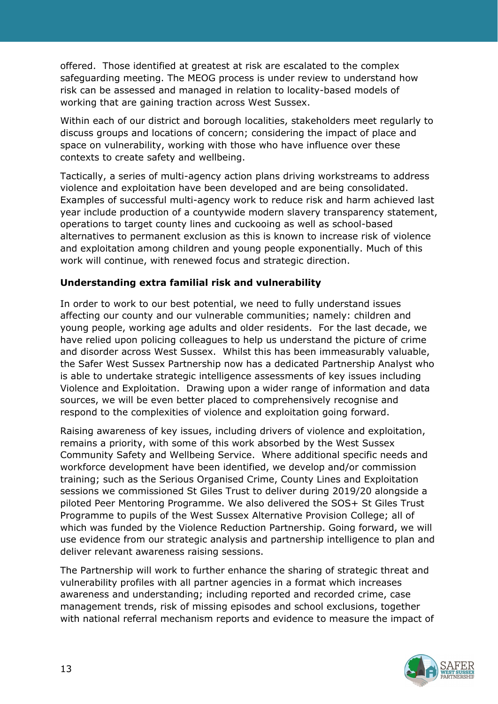offered. Those identified at greatest at risk are escalated to the complex safeguarding meeting. The MEOG process is under review to understand how risk can be assessed and managed in relation to locality-based models of working that are gaining traction across West Sussex.

Within each of our district and borough localities, stakeholders meet regularly to discuss groups and locations of concern; considering the impact of place and space on vulnerability, working with those who have influence over these contexts to create safety and wellbeing.

Tactically, a series of multi-agency action plans driving workstreams to address violence and exploitation have been developed and are being consolidated. Examples of successful multi-agency work to reduce risk and harm achieved last year include production of a countywide modern slavery transparency statement, operations to target county lines and cuckooing as well as school-based alternatives to permanent exclusion as this is known to increase risk of violence and exploitation among children and young people exponentially. Much of this work will continue, with renewed focus and strategic direction.

#### **Understanding extra familial risk and vulnerability**

In order to work to our best potential, we need to fully understand issues affecting our county and our vulnerable communities; namely: children and young people, working age adults and older residents. For the last decade, we have relied upon policing colleagues to help us understand the picture of crime and disorder across West Sussex. Whilst this has been immeasurably valuable, the Safer West Sussex Partnership now has a dedicated Partnership Analyst who is able to undertake strategic intelligence assessments of key issues including Violence and Exploitation. Drawing upon a wider range of information and data sources, we will be even better placed to comprehensively recognise and respond to the complexities of violence and exploitation going forward.

Raising awareness of key issues, including drivers of violence and exploitation, remains a priority, with some of this work absorbed by the West Sussex Community Safety and Wellbeing Service. Where additional specific needs and workforce development have been identified, we develop and/or commission training; such as the Serious Organised Crime, County Lines and Exploitation sessions we commissioned St Giles Trust to deliver during 2019/20 alongside a piloted Peer Mentoring Programme. We also delivered the SOS+ St Giles Trust Programme to pupils of the West Sussex Alternative Provision College; all of which was funded by the Violence Reduction Partnership. Going forward, we will use evidence from our strategic analysis and partnership intelligence to plan and deliver relevant awareness raising sessions.

The Partnership will work to further enhance the sharing of strategic threat and vulnerability profiles with all partner agencies in a format which increases awareness and understanding; including reported and recorded crime, case management trends, risk of missing episodes and school exclusions, together with national referral mechanism reports and evidence to measure the impact of

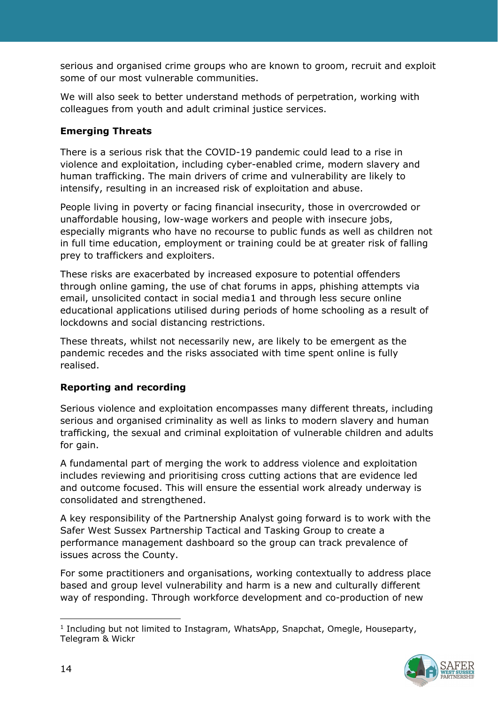serious and organised crime groups who are known to groom, recruit and exploit some of our most vulnerable communities.

We will also seek to better understand methods of perpetration, working with colleagues from youth and adult criminal justice services.

## **Emerging Threats**

There is a serious risk that the COVID-19 pandemic could lead to a rise in violence and exploitation, including cyber-enabled crime, modern slavery and human trafficking. The main drivers of crime and vulnerability are likely to intensify, resulting in an increased risk of exploitation and abuse.

People living in poverty or facing financial insecurity, those in overcrowded or unaffordable housing, low-wage workers and people with insecure jobs, especially migrants who have no recourse to public funds as well as children not in full time education, employment or training could be at greater risk of falling prey to traffickers and exploiters.

These risks are exacerbated by increased exposure to potential offenders through online gaming, the use of chat forums in apps, phishing attempts via email, unsolicited contact in social media[1](#page-13-0) and through less secure online educational applications utilised during periods of home schooling as a result of lockdowns and social distancing restrictions.

These threats, whilst not necessarily new, are likely to be emergent as the pandemic recedes and the risks associated with time spent online is fully realised.

## **Reporting and recording**

Serious violence and exploitation encompasses many different threats, including serious and organised criminality as well as links to modern slavery and human trafficking, the sexual and criminal exploitation of vulnerable children and adults for gain.

A fundamental part of merging the work to address violence and exploitation includes reviewing and prioritising cross cutting actions that are evidence led and outcome focused. This will ensure the essential work already underway is consolidated and strengthened.

A key responsibility of the Partnership Analyst going forward is to work with the Safer West Sussex Partnership Tactical and Tasking Group to create a performance management dashboard so the group can track prevalence of issues across the County.

For some practitioners and organisations, working contextually to address place based and group level vulnerability and harm is a new and culturally different way of responding. Through workforce development and co-production of new

<span id="page-13-0"></span><sup>&</sup>lt;sup>1</sup> Including but not limited to Instagram, WhatsApp, Snapchat, Omegle, Houseparty, Telegram & Wickr

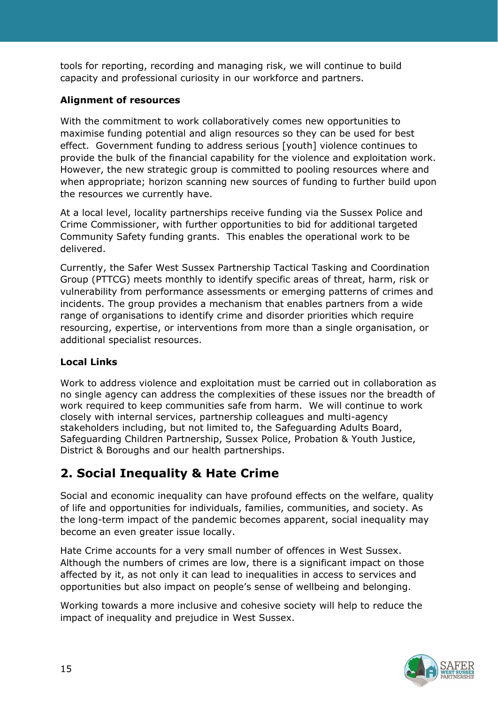tools for reporting, recording and managing risk, we will continue to build capacity and professional curiosity in our workforce and partners.

## **Alignment of resources**

With the commitment to work collaboratively comes new opportunities to maximise funding potential and align resources so they can be used for best effect. Government funding to address serious [youth] violence continues to provide the bulk of the financial capability for the violence and exploitation work. However, the new strategic group is committed to pooling resources where and when appropriate; horizon scanning new sources of funding to further build upon the resources we currently have.

At a local level, locality partnerships receive funding via the Sussex Police and Crime Commissioner, with further opportunities to bid for additional targeted Community Safety funding grants. This enables the operational work to be delivered.

Currently, the Safer West Sussex Partnership Tactical Tasking and Coordination Group (PTTCG) meets monthly to identify specific areas of threat, harm, risk or vulnerability from performance assessments or emerging patterns of crimes and incidents. The group provides a mechanism that enables partners from a wide range of organisations to identify crime and disorder priorities which require resourcing, expertise, or interventions from more than a single organisation, or additional specialist resources.

## **Local Links**

Work to address violence and exploitation must be carried out in collaboration as no single agency can address the complexities of these issues nor the breadth of work required to keep communities safe from harm. We will continue to work closely with internal services, partnership colleagues and multi-agency stakeholders including, but not limited to, the Safeguarding Adults Board, Safeguarding Children Partnership, Sussex Police, Probation & Youth Justice, District & Boroughs and our health partnerships.

# **2. Social Inequality & Hate Crime**

Social and economic inequality can have profound effects on the welfare, quality of life and opportunities for individuals, families, communities, and society. As the long-term impact of the pandemic becomes apparent, social inequality may become an even greater issue locally.

Hate Crime accounts for a very small number of offences in West Sussex. Although the numbers of crimes are low, there is a significant impact on those affected by it, as not only it can lead to inequalities in access to services and opportunities but also impact on people's sense of wellbeing and belonging.

Working towards a more inclusive and cohesive society will help to reduce the impact of inequality and prejudice in West Sussex.

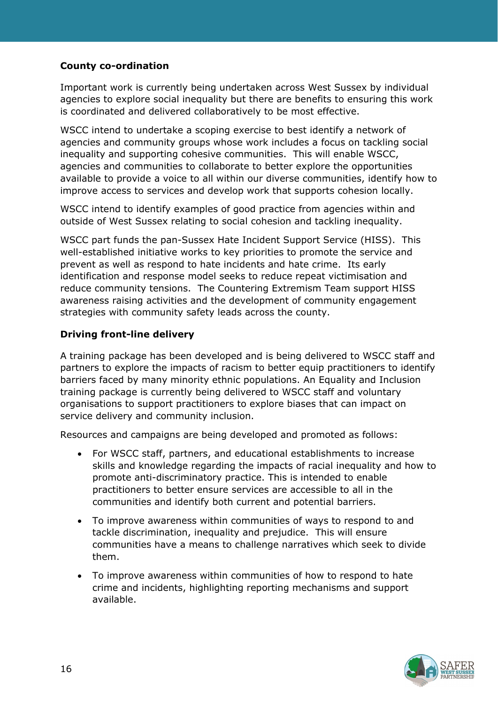## **County co-ordination**

Important work is currently being undertaken across West Sussex by individual agencies to explore social inequality but there are benefits to ensuring this work is coordinated and delivered collaboratively to be most effective.

WSCC intend to undertake a scoping exercise to best identify a network of agencies and community groups whose work includes a focus on tackling social inequality and supporting cohesive communities. This will enable WSCC, agencies and communities to collaborate to better explore the opportunities available to provide a voice to all within our diverse communities, identify how to improve access to services and develop work that supports cohesion locally.

WSCC intend to identify examples of good practice from agencies within and outside of West Sussex relating to social cohesion and tackling inequality.

WSCC part funds the pan-Sussex Hate Incident Support Service (HISS). This well-established initiative works to key priorities to promote the service and prevent as well as respond to hate incidents and hate crime. Its early identification and response model seeks to reduce repeat victimisation and reduce community tensions. The Countering Extremism Team support HISS awareness raising activities and the development of community engagement strategies with community safety leads across the county.

#### **Driving front-line delivery**

A training package has been developed and is being delivered to WSCC staff and partners to explore the impacts of racism to better equip practitioners to identify barriers faced by many minority ethnic populations. An Equality and Inclusion training package is currently being delivered to WSCC staff and voluntary organisations to support practitioners to explore biases that can impact on service delivery and community inclusion.

Resources and campaigns are being developed and promoted as follows:

- For WSCC staff, partners, and educational establishments to increase skills and knowledge regarding the impacts of racial inequality and how to promote anti-discriminatory practice. This is intended to enable practitioners to better ensure services are accessible to all in the communities and identify both current and potential barriers.
- To improve awareness within communities of ways to respond to and tackle discrimination, inequality and prejudice. This will ensure communities have a means to challenge narratives which seek to divide them.
- To improve awareness within communities of how to respond to hate crime and incidents, highlighting reporting mechanisms and support available.

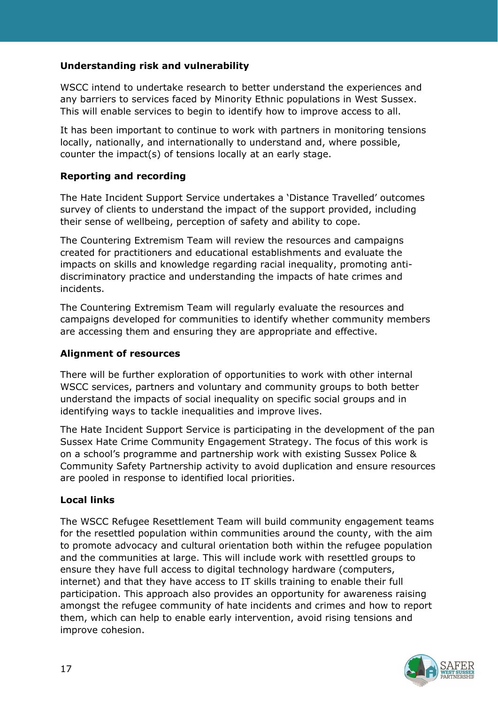## **Understanding risk and vulnerability**

WSCC intend to undertake research to better understand the experiences and any barriers to services faced by Minority Ethnic populations in West Sussex. This will enable services to begin to identify how to improve access to all.

It has been important to continue to work with partners in monitoring tensions locally, nationally, and internationally to understand and, where possible, counter the impact(s) of tensions locally at an early stage.

#### **Reporting and recording**

The Hate Incident Support Service undertakes a 'Distance Travelled' outcomes survey of clients to understand the impact of the support provided, including their sense of wellbeing, perception of safety and ability to cope.

The Countering Extremism Team will review the resources and campaigns created for practitioners and educational establishments and evaluate the impacts on skills and knowledge regarding racial inequality, promoting antidiscriminatory practice and understanding the impacts of hate crimes and incidents.

The Countering Extremism Team will regularly evaluate the resources and campaigns developed for communities to identify whether community members are accessing them and ensuring they are appropriate and effective.

#### **Alignment of resources**

There will be further exploration of opportunities to work with other internal WSCC services, partners and voluntary and community groups to both better understand the impacts of social inequality on specific social groups and in identifying ways to tackle inequalities and improve lives.

The Hate Incident Support Service is participating in the development of the pan Sussex Hate Crime Community Engagement Strategy. The focus of this work is on a school's programme and partnership work with existing Sussex Police & Community Safety Partnership activity to avoid duplication and ensure resources are pooled in response to identified local priorities.

## **Local links**

The WSCC Refugee Resettlement Team will build community engagement teams for the resettled population within communities around the county, with the aim to promote advocacy and cultural orientation both within the refugee population and the communities at large. This will include work with resettled groups to ensure they have full access to digital technology hardware (computers, internet) and that they have access to IT skills training to enable their full participation. This approach also provides an opportunity for awareness raising amongst the refugee community of hate incidents and crimes and how to report them, which can help to enable early intervention, avoid rising tensions and improve cohesion.

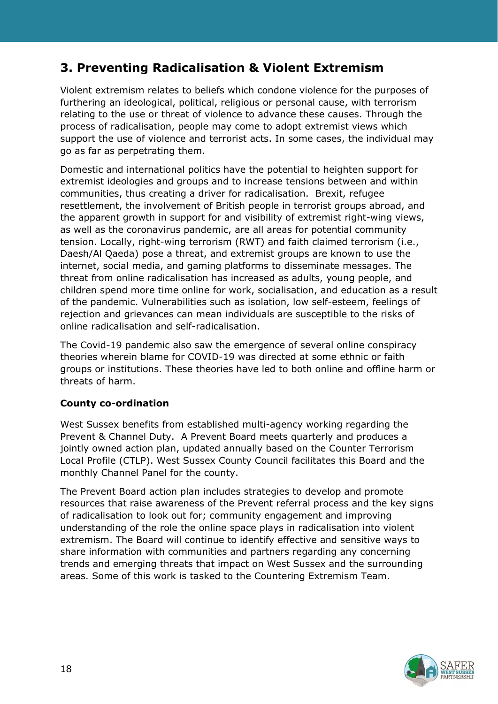# **3. Preventing Radicalisation & Violent Extremism**

Violent extremism relates to beliefs which condone violence for the purposes of furthering an ideological, political, religious or personal cause, with terrorism relating to the use or threat of violence to advance these causes. Through the process of radicalisation, people may come to adopt extremist views which support the use of violence and terrorist acts. In some cases, the individual may go as far as perpetrating them.

Domestic and international politics have the potential to heighten support for extremist ideologies and groups and to increase tensions between and within communities, thus creating a driver for radicalisation. Brexit, refugee resettlement, the involvement of British people in terrorist groups abroad, and the apparent growth in support for and visibility of extremist right-wing views, as well as the coronavirus pandemic, are all areas for potential community tension. Locally, right-wing terrorism (RWT) and faith claimed terrorism (i.e., Daesh/Al Qaeda) pose a threat, and extremist groups are known to use the internet, social media, and gaming platforms to disseminate messages. The threat from online radicalisation has increased as adults, young people, and children spend more time online for work, socialisation, and education as a result of the pandemic. Vulnerabilities such as isolation, low self-esteem, feelings of rejection and grievances can mean individuals are susceptible to the risks of online radicalisation and self-radicalisation.

The Covid-19 pandemic also saw the emergence of several online conspiracy theories wherein blame for COVID-19 was directed at some ethnic or faith groups or institutions. These theories have led to both online and offline harm or threats of harm.

## **County co-ordination**

West Sussex benefits from established multi-agency working regarding the Prevent & Channel Duty. A Prevent Board meets quarterly and produces a jointly owned action plan, updated annually based on the Counter Terrorism Local Profile (CTLP). West Sussex County Council facilitates this Board and the monthly Channel Panel for the county.

The Prevent Board action plan includes strategies to develop and promote resources that raise awareness of the Prevent referral process and the key signs of radicalisation to look out for; community engagement and improving understanding of the role the online space plays in radicalisation into violent extremism. The Board will continue to identify effective and sensitive ways to share information with communities and partners regarding any concerning trends and emerging threats that impact on West Sussex and the surrounding areas. Some of this work is tasked to the Countering Extremism Team.

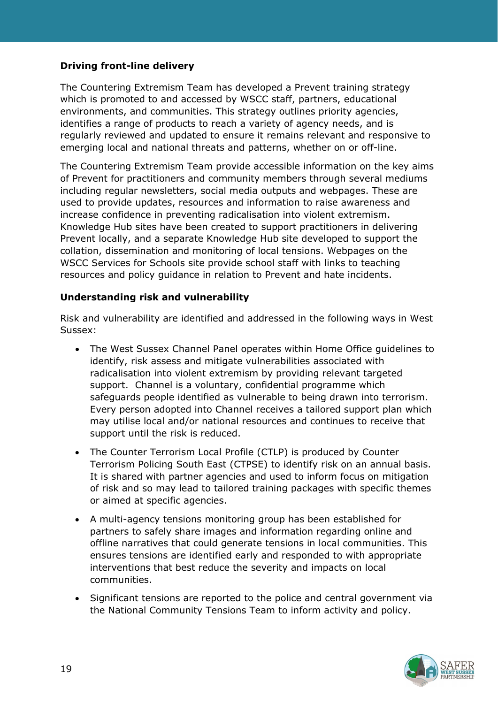#### **Driving front-line delivery**

The Countering Extremism Team has developed a Prevent training strategy which is promoted to and accessed by WSCC staff, partners, educational environments, and communities. This strategy outlines priority agencies, identifies a range of products to reach a variety of agency needs, and is regularly reviewed and updated to ensure it remains relevant and responsive to emerging local and national threats and patterns, whether on or off-line.

The Countering Extremism Team provide accessible information on the key aims of Prevent for practitioners and community members through several mediums including regular newsletters, social media outputs and webpages. These are used to provide updates, resources and information to raise awareness and increase confidence in preventing radicalisation into violent extremism. Knowledge Hub sites have been created to support practitioners in delivering Prevent locally, and a separate Knowledge Hub site developed to support the collation, dissemination and monitoring of local tensions. Webpages on the WSCC Services for Schools site provide school staff with links to teaching resources and policy guidance in relation to Prevent and hate incidents.

#### **Understanding risk and vulnerability**

Risk and vulnerability are identified and addressed in the following ways in West Sussex:

- The West Sussex Channel Panel operates within Home Office guidelines to identify, risk assess and mitigate vulnerabilities associated with radicalisation into violent extremism by providing relevant targeted support. Channel is a voluntary, confidential programme which safeguards people identified as vulnerable to being drawn into terrorism. Every person adopted into Channel receives a tailored support plan which may utilise local and/or national resources and continues to receive that support until the risk is reduced.
- The Counter Terrorism Local Profile (CTLP) is produced by Counter Terrorism Policing South East (CTPSE) to identify risk on an annual basis. It is shared with partner agencies and used to inform focus on mitigation of risk and so may lead to tailored training packages with specific themes or aimed at specific agencies.
- A multi-agency tensions monitoring group has been established for partners to safely share images and information regarding online and offline narratives that could generate tensions in local communities. This ensures tensions are identified early and responded to with appropriate interventions that best reduce the severity and impacts on local communities.
- Significant tensions are reported to the police and central government via the National Community Tensions Team to inform activity and policy.

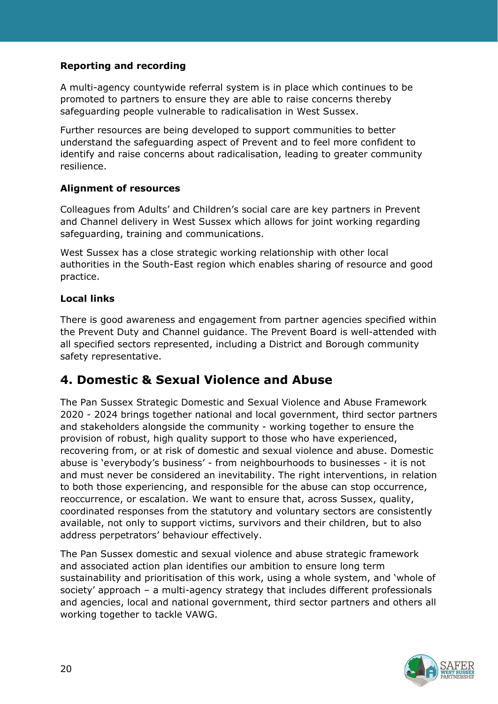## **Reporting and recording**

A multi-agency countywide referral system is in place which continues to be promoted to partners to ensure they are able to raise concerns thereby safeguarding people vulnerable to radicalisation in West Sussex.

Further resources are being developed to support communities to better understand the safeguarding aspect of Prevent and to feel more confident to identify and raise concerns about radicalisation, leading to greater community resilience.

## **Alignment of resources**

Colleagues from Adults' and Children's social care are key partners in Prevent and Channel delivery in West Sussex which allows for joint working regarding safeguarding, training and communications.

West Sussex has a close strategic working relationship with other local authorities in the South-East region which enables sharing of resource and good practice.

## **Local links**

There is good awareness and engagement from partner agencies specified within the Prevent Duty and Channel guidance. The Prevent Board is well-attended with all specified sectors represented, including a District and Borough community safety representative.

## **4. Domestic & Sexual Violence and Abuse**

The Pan Sussex Strategic Domestic and Sexual Violence and Abuse Framework 2020 - 2024 brings together national and local government, third sector partners and stakeholders alongside the community - working together to ensure the provision of robust, high quality support to those who have experienced, recovering from, or at risk of domestic and sexual violence and abuse. Domestic abuse is 'everybody's business' - from neighbourhoods to businesses - it is not and must never be considered an inevitability. The right interventions, in relation to both those experiencing, and responsible for the abuse can stop occurrence, reoccurrence, or escalation. We want to ensure that, across Sussex, quality, coordinated responses from the statutory and voluntary sectors are consistently available, not only to support victims, survivors and their children, but to also address perpetrators' behaviour effectively.

The Pan Sussex domestic and sexual violence and abuse strategic framework and associated action plan identifies our ambition to ensure long term sustainability and prioritisation of this work, using a whole system, and 'whole of society' approach – a multi-agency strategy that includes different professionals and agencies, local and national government, third sector partners and others all working together to tackle VAWG.

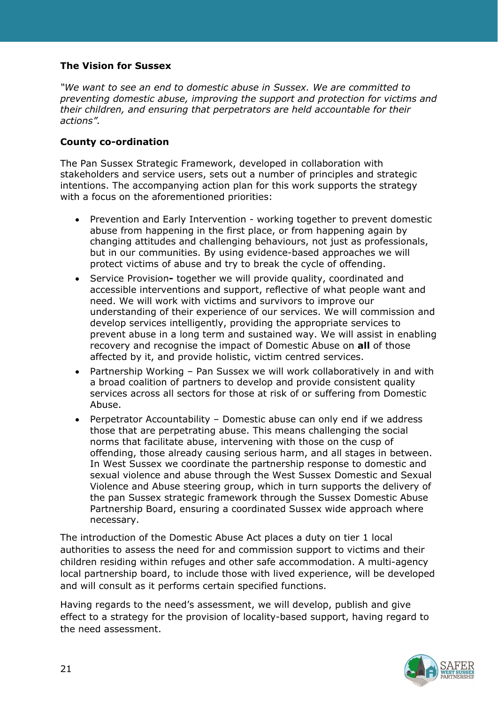#### **The Vision for Sussex**

*"We want to see an end to domestic abuse in Sussex. We are committed to preventing domestic abuse, improving the support and protection for victims and their children, and ensuring that perpetrators are held accountable for their actions".* 

#### **County co-ordination**

The Pan Sussex Strategic Framework, developed in collaboration with stakeholders and service users, sets out a number of principles and strategic intentions. The accompanying action plan for this work supports the strategy with a focus on the aforementioned priorities:

- Prevention and Early Intervention working together to prevent domestic abuse from happening in the first place, or from happening again by changing attitudes and challenging behaviours, not just as professionals, but in our communities. By using evidence-based approaches we will protect victims of abuse and try to break the cycle of offending.
- Service Provision**-** together we will provide quality, coordinated and accessible interventions and support, reflective of what people want and need. We will work with victims and survivors to improve our understanding of their experience of our services. We will commission and develop services intelligently, providing the appropriate services to prevent abuse in a long term and sustained way. We will assist in enabling recovery and recognise the impact of Domestic Abuse on **all** of those affected by it, and provide holistic, victim centred services.
- Partnership Working Pan Sussex we will work collaboratively in and with a broad coalition of partners to develop and provide consistent quality services across all sectors for those at risk of or suffering from Domestic Abuse.
- Perpetrator Accountability Domestic abuse can only end if we address those that are perpetrating abuse. This means challenging the social norms that facilitate abuse, intervening with those on the cusp of offending, those already causing serious harm, and all stages in between. In West Sussex we coordinate the partnership response to domestic and sexual violence and abuse through the West Sussex Domestic and Sexual Violence and Abuse steering group, which in turn supports the delivery of the pan Sussex strategic framework through the Sussex Domestic Abuse Partnership Board, ensuring a coordinated Sussex wide approach where necessary.

The introduction of the Domestic Abuse Act places a duty on tier 1 local authorities to assess the need for and commission support to victims and their children residing within refuges and other safe accommodation. A multi-agency local partnership board, to include those with lived experience, will be developed and will consult as it performs certain specified functions.

Having regards to the need's assessment, we will develop, publish and give effect to a strategy for the provision of locality-based support, having regard to the need assessment.

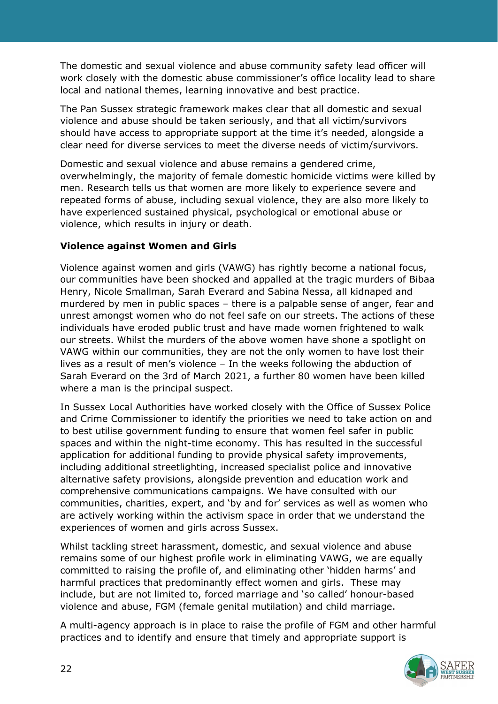The domestic and sexual violence and abuse community safety lead officer will work closely with the domestic abuse commissioner's office locality lead to share local and national themes, learning innovative and best practice.

The Pan Sussex strategic framework makes clear that all domestic and sexual violence and abuse should be taken seriously, and that all victim/survivors should have access to appropriate support at the time it's needed, alongside a clear need for diverse services to meet the diverse needs of victim/survivors.

Domestic and sexual violence and abuse remains a gendered crime, overwhelmingly, the majority of female domestic homicide victims were killed by men. Research tells us that women are more likely to experience severe and repeated forms of abuse, including sexual violence, they are also more likely to have experienced sustained physical, psychological or emotional abuse or violence, which results in injury or death.

#### **Violence against Women and Girls**

Violence against women and girls (VAWG) has rightly become a national focus, our communities have been shocked and appalled at the tragic murders of Bibaa Henry, Nicole Smallman, Sarah Everard and Sabina Nessa, all kidnaped and murdered by men in public spaces – there is a palpable sense of anger, fear and unrest amongst women who do not feel safe on our streets. The actions of these individuals have eroded public trust and have made women frightened to walk our streets. Whilst the murders of the above women have shone a spotlight on VAWG within our communities, they are not the only women to have lost their lives as a result of men's violence – In the weeks following the abduction of Sarah Everard on the 3rd of March 2021, a further 80 women have been killed where a man is the principal suspect.

In Sussex Local Authorities have worked closely with the Office of Sussex Police and Crime Commissioner to identify the priorities we need to take action on and to best utilise government funding to ensure that women feel safer in public spaces and within the night-time economy. This has resulted in the successful application for additional funding to provide physical safety improvements, including additional streetlighting, increased specialist police and innovative alternative safety provisions, alongside prevention and education work and comprehensive communications campaigns. We have consulted with our communities, charities, expert, and 'by and for' services as well as women who are actively working within the activism space in order that we understand the experiences of women and girls across Sussex.

Whilst tackling street harassment, domestic, and sexual violence and abuse remains some of our highest profile work in eliminating VAWG, we are equally committed to raising the profile of, and eliminating other 'hidden harms' and harmful practices that predominantly effect women and girls. These may include, but are not limited to, forced marriage and 'so called' honour-based violence and abuse, FGM (female genital mutilation) and child marriage.

A multi-agency approach is in place to raise the profile of FGM and other harmful practices and to identify and ensure that timely and appropriate support is

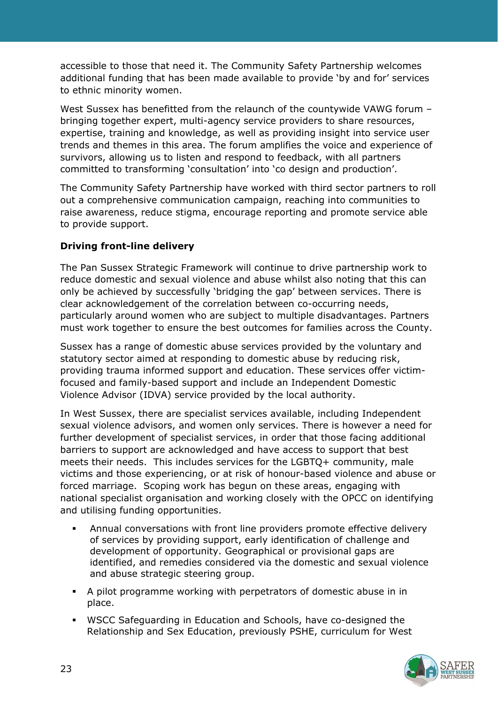accessible to those that need it. The Community Safety Partnership welcomes additional funding that has been made available to provide 'by and for' services to ethnic minority women.

West Sussex has benefitted from the relaunch of the countywide VAWG forum – bringing together expert, multi-agency service providers to share resources, expertise, training and knowledge, as well as providing insight into service user trends and themes in this area. The forum amplifies the voice and experience of survivors, allowing us to listen and respond to feedback, with all partners committed to transforming 'consultation' into 'co design and production'.

The Community Safety Partnership have worked with third sector partners to roll out a comprehensive communication campaign, reaching into communities to raise awareness, reduce stigma, encourage reporting and promote service able to provide support.

#### **Driving front-line delivery**

The Pan Sussex Strategic Framework will continue to drive partnership work to reduce domestic and sexual violence and abuse whilst also noting that this can only be achieved by successfully 'bridging the gap' between services. There is clear acknowledgement of the correlation between co-occurring needs, particularly around women who are subject to multiple disadvantages. Partners must work together to ensure the best outcomes for families across the County.

Sussex has a range of domestic abuse services provided by the voluntary and statutory sector aimed at responding to domestic abuse by reducing risk, providing trauma informed support and education. These services offer victimfocused and family-based support and include an Independent Domestic Violence Advisor (IDVA) service provided by the local authority.

In West Sussex, there are specialist services available, including Independent sexual violence advisors, and women only services. There is however a need for further development of specialist services, in order that those facing additional barriers to support are acknowledged and have access to support that best meets their needs. This includes services for the LGBTQ+ community, male victims and those experiencing, or at risk of honour-based violence and abuse or forced marriage. Scoping work has begun on these areas, engaging with national specialist organisation and working closely with the OPCC on identifying and utilising funding opportunities.

- Annual conversations with front line providers promote effective delivery of services by providing support, early identification of challenge and development of opportunity. Geographical or provisional gaps are identified, and remedies considered via the domestic and sexual violence and abuse strategic steering group.
- A pilot programme working with perpetrators of domestic abuse in in place.
- WSCC Safeguarding in Education and Schools, have co-designed the Relationship and Sex Education, previously PSHE, curriculum for West

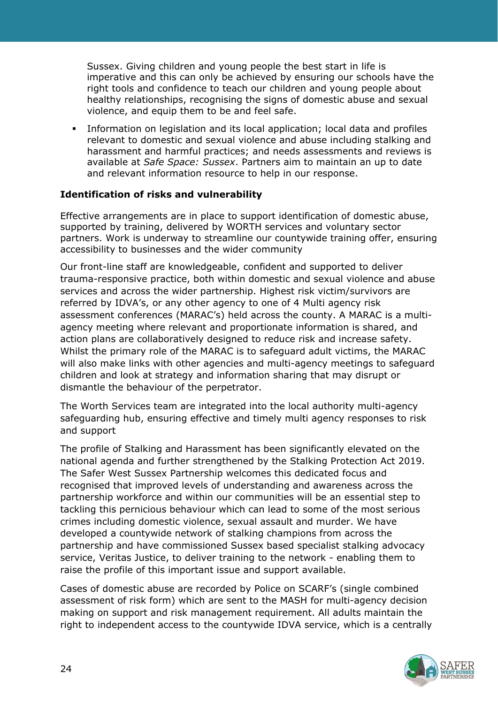Sussex. Giving children and young people the best start in life is imperative and this can only be achieved by ensuring our schools have the right tools and confidence to teach our children and young people about healthy relationships, recognising the signs of domestic abuse and sexual violence, and equip them to be and feel safe.

 Information on legislation and its local application; local data and profiles relevant to domestic and sexual violence and abuse including stalking and harassment and harmful practices; and needs assessments and reviews is available at *Safe Space: Sussex*. Partners aim to maintain an up to date and relevant information resource to help in our response.

#### **Identification of risks and vulnerability**

Effective arrangements are in place to support identification of domestic abuse, supported by training, delivered by WORTH services and voluntary sector partners. Work is underway to streamline our countywide training offer, ensuring accessibility to businesses and the wider community

Our front-line staff are knowledgeable, confident and supported to deliver trauma-responsive practice, both within domestic and sexual violence and abuse services and across the wider partnership. Highest risk victim/survivors are referred by IDVA's, or any other agency to one of 4 Multi agency risk assessment conferences (MARAC's) held across the county. A MARAC is a multiagency meeting where relevant and proportionate information is shared, and action plans are collaboratively designed to reduce risk and increase safety. Whilst the primary role of the MARAC is to safeguard adult victims, the MARAC will also make links with other agencies and multi-agency meetings to safeguard children and look at strategy and information sharing that may disrupt or dismantle the behaviour of the perpetrator.

The Worth Services team are integrated into the local authority multi-agency safeguarding hub, ensuring effective and timely multi agency responses to risk and support

The profile of Stalking and Harassment has been significantly elevated on the national agenda and further strengthened by the Stalking Protection Act 2019. The Safer West Sussex Partnership welcomes this dedicated focus and recognised that improved levels of understanding and awareness across the partnership workforce and within our communities will be an essential step to tackling this pernicious behaviour which can lead to some of the most serious crimes including domestic violence, sexual assault and murder. We have developed a countywide network of stalking champions from across the partnership and have commissioned Sussex based specialist stalking advocacy service, Veritas Justice, to deliver training to the network - enabling them to raise the profile of this important issue and support available.

Cases of domestic abuse are recorded by Police on SCARF's (single combined assessment of risk form) which are sent to the MASH for multi-agency decision making on support and risk management requirement. All adults maintain the right to independent access to the countywide IDVA service, which is a centrally

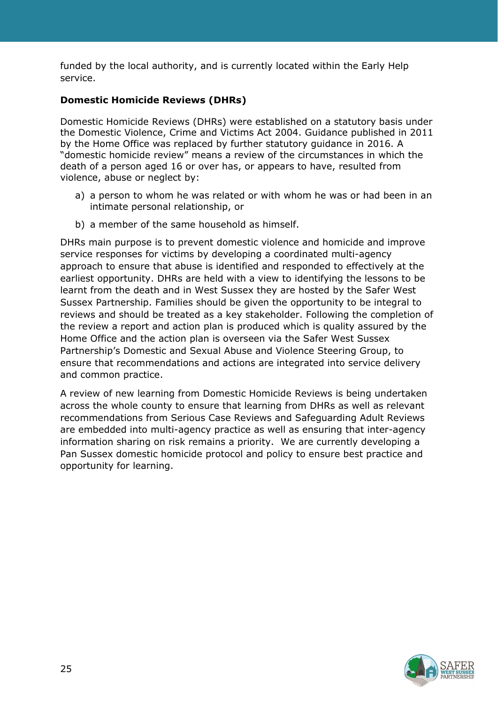funded by the local authority, and is currently located within the Early Help service.

## **Domestic Homicide Reviews (DHRs)**

Domestic Homicide Reviews (DHRs) were established on a statutory basis under the Domestic Violence, Crime and Victims Act 2004. Guidance published in 2011 by the Home Office was replaced by further statutory guidance in 2016. A "domestic homicide review" means a review of the circumstances in which the death of a person aged 16 or over has, or appears to have, resulted from violence, abuse or neglect by:

- a) a person to whom he was related or with whom he was or had been in an intimate personal relationship, or
- b) a member of the same household as himself.

DHRs main purpose is to prevent domestic violence and homicide and improve service responses for victims by developing a coordinated multi-agency approach to ensure that abuse is identified and responded to effectively at the earliest opportunity. DHRs are held with a view to identifying the lessons to be learnt from the death and in West Sussex they are hosted by the Safer West Sussex Partnership. Families should be given the opportunity to be integral to reviews and should be treated as a key stakeholder. Following the completion of the review a report and action plan is produced which is quality assured by the Home Office and the action plan is overseen via the Safer West Sussex Partnership's Domestic and Sexual Abuse and Violence Steering Group, to ensure that recommendations and actions are integrated into service delivery and common practice.

A review of new learning from Domestic Homicide Reviews is being undertaken across the whole county to ensure that learning from DHRs as well as relevant recommendations from Serious Case Reviews and Safeguarding Adult Reviews are embedded into multi-agency practice as well as ensuring that inter-agency information sharing on risk remains a priority. We are currently developing a Pan Sussex domestic homicide protocol and policy to ensure best practice and opportunity for learning.

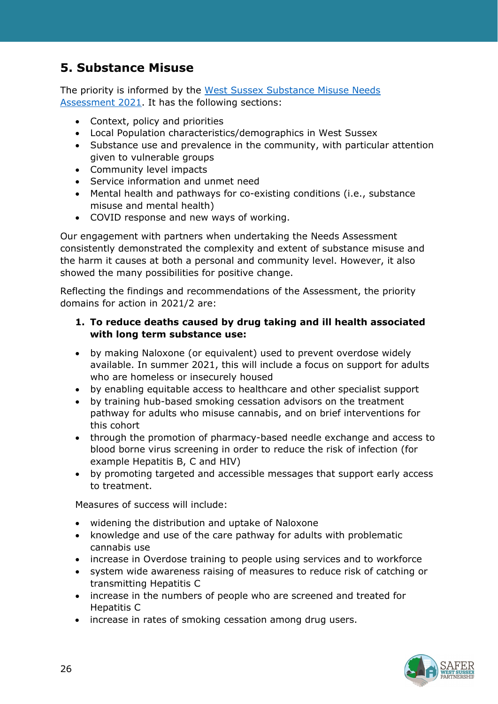# **5. Substance Misuse**

The priority is informed by the [West Sussex Substance Misuse Needs](https://jsna.westsussex.gov.uk/updates/substance-misuse-needs-assessment-2021)  [Assessment 2021.](https://jsna.westsussex.gov.uk/updates/substance-misuse-needs-assessment-2021) It has the following sections:

- Context, policy and priorities
- Local Population characteristics/demographics in West Sussex
- Substance use and prevalence in the community, with particular attention given to vulnerable groups
- Community level impacts
- Service information and unmet need
- Mental health and pathways for co-existing conditions (i.e., substance misuse and mental health)
- COVID response and new ways of working.

Our engagement with partners when undertaking the Needs Assessment consistently demonstrated the complexity and extent of substance misuse and the harm it causes at both a personal and community level. However, it also showed the many possibilities for positive change.

Reflecting the findings and recommendations of the Assessment, the priority domains for action in 2021/2 are:

#### **1. To reduce deaths caused by drug taking and ill health associated with long term substance use:**

- by making Naloxone (or equivalent) used to prevent overdose widely available. In summer 2021, this will include a focus on support for adults who are homeless or insecurely housed
- by enabling equitable access to healthcare and other specialist support
- by training hub-based smoking cessation advisors on the treatment pathway for adults who misuse cannabis, and on brief interventions for this cohort
- through the promotion of pharmacy-based needle exchange and access to blood borne virus screening in order to reduce the risk of infection (for example Hepatitis B, C and HIV)
- by promoting targeted and accessible messages that support early access to treatment.

Measures of success will include:

- widening the distribution and uptake of Naloxone
- knowledge and use of the care pathway for adults with problematic cannabis use
- increase in Overdose training to people using services and to workforce
- system wide awareness raising of measures to reduce risk of catching or transmitting Hepatitis C
- increase in the numbers of people who are screened and treated for Hepatitis C
- increase in rates of smoking cessation among drug users.

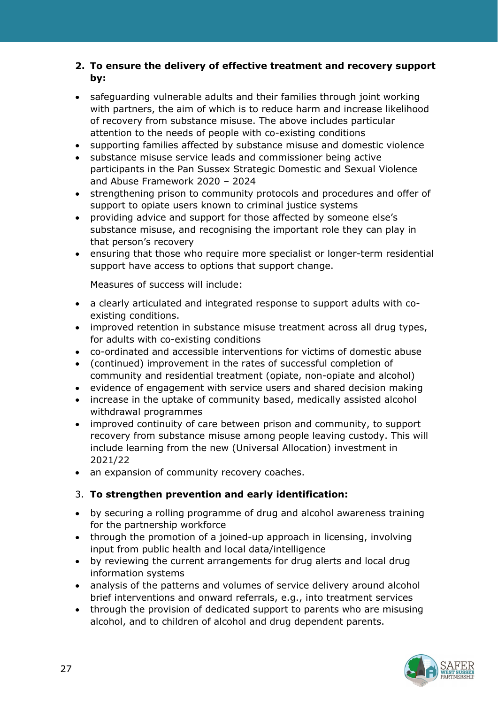## **2. To ensure the delivery of effective treatment and recovery support by:**

- safeguarding vulnerable adults and their families through joint working with partners, the aim of which is to reduce harm and increase likelihood of recovery from substance misuse. The above includes particular attention to the needs of people with co-existing conditions
- supporting families affected by substance misuse and domestic violence
- substance misuse service leads and commissioner being active participants in the Pan Sussex Strategic Domestic and Sexual Violence and Abuse Framework 2020 – 2024
- strengthening prison to community protocols and procedures and offer of support to opiate users known to criminal justice systems
- providing advice and support for those affected by someone else's substance misuse, and recognising the important role they can play in that person's recovery
- ensuring that those who require more specialist or longer-term residential support have access to options that support change.

Measures of success will include:

- a clearly articulated and integrated response to support adults with coexisting conditions.
- improved retention in substance misuse treatment across all drug types, for adults with co-existing conditions
- co-ordinated and accessible interventions for victims of domestic abuse
- (continued) improvement in the rates of successful completion of community and residential treatment (opiate, non-opiate and alcohol)
- evidence of engagement with service users and shared decision making
- increase in the uptake of community based, medically assisted alcohol withdrawal programmes
- improved continuity of care between prison and community, to support recovery from substance misuse among people leaving custody. This will include learning from the new (Universal Allocation) investment in 2021/22
- an expansion of community recovery coaches.

#### 3. **To strengthen prevention and early identification:**

- by securing a rolling programme of drug and alcohol awareness training for the partnership workforce
- through the promotion of a joined-up approach in licensing, involving input from public health and local data/intelligence
- by reviewing the current arrangements for drug alerts and local drug information systems
- analysis of the patterns and volumes of service delivery around alcohol brief interventions and onward referrals, e.g., into treatment services
- through the provision of dedicated support to parents who are misusing alcohol, and to children of alcohol and drug dependent parents.

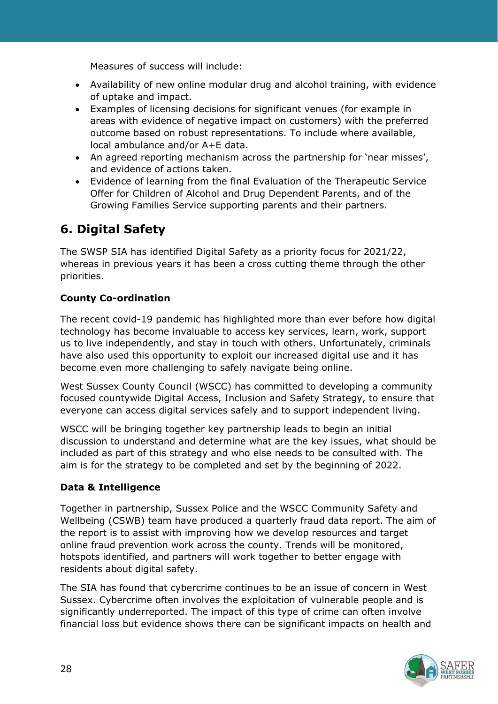Measures of success will include:

- Availability of new online modular drug and alcohol training, with evidence of uptake and impact.
- Examples of licensing decisions for significant venues (for example in areas with evidence of negative impact on customers) with the preferred outcome based on robust representations. To include where available, local ambulance and/or A+E data.
- An agreed reporting mechanism across the partnership for 'near misses', and evidence of actions taken.
- Evidence of learning from the final Evaluation of the Therapeutic Service Offer for Children of Alcohol and Drug Dependent Parents, and of the Growing Families Service supporting parents and their partners.

# **6. Digital Safety**

The SWSP SIA has identified Digital Safety as a priority focus for 2021/22, whereas in previous years it has been a cross cutting theme through the other priorities.

## **County Co-ordination**

The recent covid-19 pandemic has highlighted more than ever before how digital technology has become invaluable to access key services, learn, work, support us to live independently, and stay in touch with others. Unfortunately, criminals have also used this opportunity to exploit our increased digital use and it has become even more challenging to safely navigate being online.

West Sussex County Council (WSCC) has committed to developing a community focused countywide Digital Access, Inclusion and Safety Strategy, to ensure that everyone can access digital services safely and to support independent living.

WSCC will be bringing together key partnership leads to begin an initial discussion to understand and determine what are the key issues, what should be included as part of this strategy and who else needs to be consulted with. The aim is for the strategy to be completed and set by the beginning of 2022.

## **Data & Intelligence**

Together in partnership, Sussex Police and the WSCC Community Safety and Wellbeing (CSWB) team have produced a quarterly fraud data report. The aim of the report is to assist with improving how we develop resources and target online fraud prevention work across the county. Trends will be monitored, hotspots identified, and partners will work together to better engage with residents about digital safety.

The SIA has found that cybercrime continues to be an issue of concern in West Sussex. Cybercrime often involves the exploitation of vulnerable people and is significantly underreported. The impact of this type of crime can often involve financial loss but evidence shows there can be significant impacts on health and

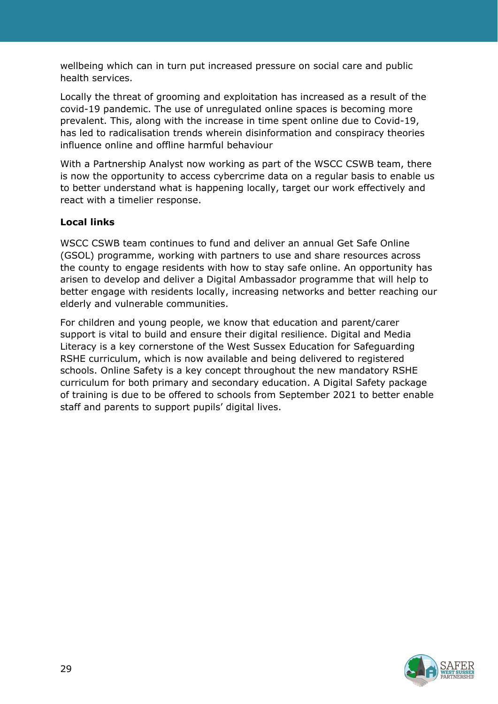wellbeing which can in turn put increased pressure on social care and public health services.

Locally the threat of grooming and exploitation has increased as a result of the covid-19 pandemic. The use of unregulated online spaces is becoming more prevalent. This, along with the increase in time spent online due to Covid-19, has led to radicalisation trends wherein disinformation and conspiracy theories influence online and offline harmful behaviour

With a Partnership Analyst now working as part of the WSCC CSWB team, there is now the opportunity to access cybercrime data on a regular basis to enable us to better understand what is happening locally, target our work effectively and react with a timelier response.

## **Local links**

WSCC CSWB team continues to fund and deliver an annual Get Safe Online (GSOL) programme, working with partners to use and share resources across the county to engage residents with how to stay safe online. An opportunity has arisen to develop and deliver a Digital Ambassador programme that will help to better engage with residents locally, increasing networks and better reaching our elderly and vulnerable communities.

For children and young people, we know that education and parent/carer support is vital to build and ensure their digital resilience. Digital and Media Literacy is a key cornerstone of the West Sussex Education for Safeguarding RSHE curriculum, which is now available and being delivered to registered schools. Online Safety is a key concept throughout the new mandatory RSHE curriculum for both primary and secondary education. A Digital Safety package of training is due to be offered to schools from September 2021 to better enable staff and parents to support pupils' digital lives.